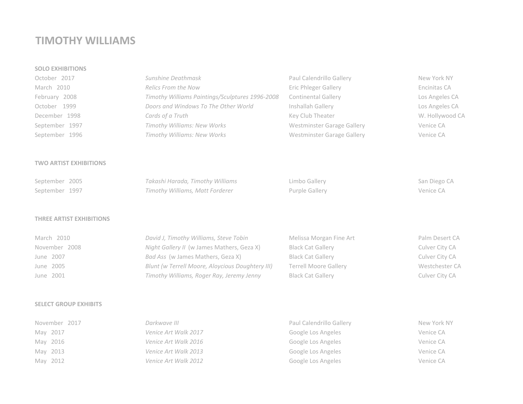# **TIMOTHY WILLIAMS**

## **SOLO EXHIBITIONS**

| October 2017   | Sunshine Deathmask                              | Paul Calendrillo Gallery   | New York NY     |
|----------------|-------------------------------------------------|----------------------------|-----------------|
| March 2010     | Relics From the Now                             | Eric Phleger Gallery       | Encinitas CA    |
| February 2008  | Timothy Williams Paintings/Sculptures 1996-2008 | <b>Continental Gallery</b> | Los Angeles CA  |
| October 1999   | Doors and Windows To The Other World            | Inshallah Gallery          | Los Angeles CA  |
| December 1998  | Cards of a Truth                                | Key Club Theater           | W. Hollywood CA |
| September 1997 | Timothy Williams: New Works                     | Westminster Garage Gallery | Venice CA       |
| September 1996 | Timothy Williams: New Works                     | Westminster Garage Gallery | Venice CA       |

## **TWO ARTIST EXHIBITIONS**

| September 2005 | Takashi Harada, Timothy Williams | Limbo Gallery  | San Diego CA |
|----------------|----------------------------------|----------------|--------------|
| September 1997 | Timothy Williams, Matt Forderer  | Purple Gallery | Venice CA    |

## **THREE ARTIST EXHIBITIONS**

| March 2010    | David J, Timothy Williams, Steve Tobin           | Melissa Morgan Fine Art      | Palm Desert CA |
|---------------|--------------------------------------------------|------------------------------|----------------|
| November 2008 | Night Gallery II (w James Mathers, Geza X)       | <b>Black Cat Gallery</b>     | Culver City CA |
| June 2007     | Bad Ass (w James Mathers, Geza X)                | <b>Black Cat Gallery</b>     | Culver City CA |
| June 2005     | Blunt (w Terrell Moore, Aloycious Doughtery III) | <b>Terrell Moore Gallery</b> | Westchester CA |
| June 2001     | Timothy Williams, Roger Ray, Jeremy Jenny        | <b>Black Cat Gallery</b>     | Culver City CA |

#### **SELECT GROUP EXHIBITS**

| November 2017 | Darkwave III         | Paul Calendrillo Gallery | New York NY |
|---------------|----------------------|--------------------------|-------------|
| May 2017      | Venice Art Walk 2017 | Google Los Angeles       | Venice CA   |
| May 2016      | Venice Art Walk 2016 | Google Los Angeles       | Venice CA   |
| May 2013      | Venice Art Walk 2013 | Google Los Angeles       | Venice CA   |
| May 2012      | Venice Art Walk 2012 | Google Los Angeles       | Venice CA   |